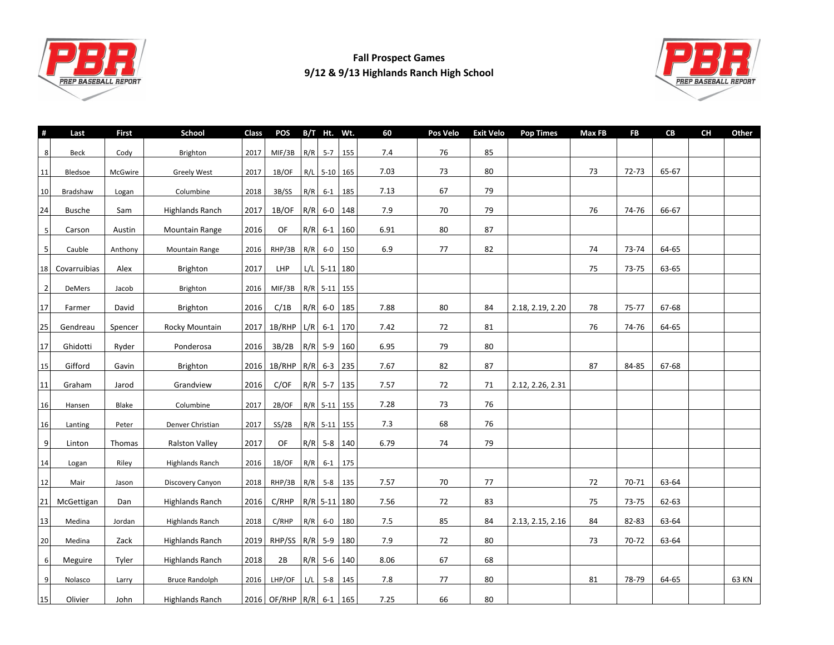

## **Fall Prospect Games 9/12 & 9/13 Highlands Ranch High School**



| #                | Last          | First   | <b>School</b>          | Class | <b>POS</b>               |     | B/T Ht. Wt.    |             | 60   | Pos Velo | <b>Exit Velo</b> | <b>Pop Times</b> | Max FB | <b>FB</b> | CB    | <b>CH</b> | Other |
|------------------|---------------|---------|------------------------|-------|--------------------------|-----|----------------|-------------|------|----------|------------------|------------------|--------|-----------|-------|-----------|-------|
| 8                | Beck          | Cody    | Brighton               | 2017  | MIF/3B                   |     | $R/R$ 5-7 155  |             | 7.4  | 76       | 85               |                  |        |           |       |           |       |
| 11               | Bledsoe       | McGwire | <b>Greely West</b>     | 2017  | 1B/OF                    |     | R/L 5-10 165   |             | 7.03 | 73       | 80               |                  | 73     | 72-73     | 65-67 |           |       |
|                  | Bradshaw      |         | Columbine              | 2018  | 3B/SS                    |     | $R/R$ 6-1 185  |             | 7.13 | 67       | 79               |                  |        |           |       |           |       |
| 10               |               | Logan   |                        |       |                          |     |                |             |      |          |                  |                  |        |           |       |           |       |
| 24               | <b>Busche</b> | Sam     | <b>Highlands Ranch</b> | 2017  | 1B/OF                    |     | $R/R$ 6-0 148  |             | 7.9  | 70       | 79               |                  | 76     | 74-76     | 66-67 |           |       |
| 5                | Carson        | Austin  | Mountain Range         | 2016  | OF                       |     | R/R 6-1 160    |             | 6.91 | 80       | 87               |                  |        |           |       |           |       |
| $5\overline{)}$  | Cauble        | Anthony | <b>Mountain Range</b>  | 2016  | RHP/3B   R/R   6-0   150 |     |                |             | 6.9  | 77       | 82               |                  | 74     | 73-74     | 64-65 |           |       |
| 18               | Covarruibias  | Alex    | Brighton               | 2017  | <b>LHP</b>               |     | $L/L$ 5-11 180 |             |      |          |                  |                  | 75     | 73-75     | 63-65 |           |       |
| $\overline{2}$   | DeMers        | Jacob   | Brighton               | 2016  | MIF/3B                   |     | R/R 5-11 155   |             |      |          |                  |                  |        |           |       |           |       |
| 17               | Farmer        | David   | Brighton               | 2016  | C/1B                     |     | R/R 6-0 185    |             | 7.88 | 80       | 84               | 2.18, 2.19, 2.20 | 78     | 75-77     | 67-68 |           |       |
| 25               | Gendreau      | Spencer | Rocky Mountain         | 2017  | 1B/RHP                   | L/R | $6-1$ 170      |             | 7.42 | 72       | 81               |                  | 76     | 74-76     | 64-65 |           |       |
| 17               | Ghidotti      | Ryder   | Ponderosa              | 2016  | 3B/2B                    |     | R/R 5-9 160    |             | 6.95 | 79       | 80               |                  |        |           |       |           |       |
| 15               | Gifford       | Gavin   | Brighton               | 2016  | 1B/RHP R/R 6-3 235       |     |                |             | 7.67 | 82       | 87               |                  | 87     | 84-85     | 67-68 |           |       |
| 11               | Graham        | Jarod   | Grandview              | 2016  | C/OF                     |     | $R/R$ 5-7 135  |             | 7.57 | 72       | 71               | 2.12, 2.26, 2.31 |        |           |       |           |       |
| 16               | Hansen        | Blake   | Columbine              | 2017  | 2B/OF                    |     | R/R 5-11 155   |             | 7.28 | 73       | 76               |                  |        |           |       |           |       |
| 16               | Lanting       | Peter   | Denver Christian       | 2017  | SS/2B                    |     | $R/R$ 5-11 155 |             | 7.3  | 68       | 76               |                  |        |           |       |           |       |
| $\boldsymbol{9}$ | Linton        | Thomas  | <b>Ralston Valley</b>  | 2017  | OF                       |     | $R/R$ 5-8 140  |             | 6.79 | 74       | 79               |                  |        |           |       |           |       |
| 14               | Logan         | Riley   | <b>Highlands Ranch</b> | 2016  | 1B/OF                    | R/R | $6-1$          | 175         |      |          |                  |                  |        |           |       |           |       |
| 12               | Mair          | Jason   | Discovery Canyon       | 2018  | RHP/3B                   |     | R/R 5-8 135    |             | 7.57 | 70       | 77               |                  | 72     | 70-71     | 63-64 |           |       |
| 21               | McGettigan    | Dan     | <b>Highlands Ranch</b> | 2016  | C/RHP                    |     | R/R 5-11 180   |             | 7.56 | 72       | 83               |                  | 75     | 73-75     | 62-63 |           |       |
| 13               | Medina        | Jordan  | <b>Highlands Ranch</b> | 2018  | C/RHP                    |     | $R/R$ 6-0 180  |             | 7.5  | 85       | 84               | 2.13, 2.15, 2.16 | 84     | 82-83     | 63-64 |           |       |
| 20               | Medina        | Zack    | <b>Highlands Ranch</b> | 2019  | RHP/SS                   |     | R/R 5-9 180    |             | 7.9  | 72       | 80               |                  | 73     | 70-72     | 63-64 |           |       |
| $6 \mid$         | Meguire       | Tyler   | <b>Highlands Ranch</b> | 2018  | 2B                       |     | $R/R$ 5-6 140  |             | 8.06 | 67       | 68               |                  |        |           |       |           |       |
| 9                | Nolasco       | Larry   | <b>Bruce Randolph</b>  | 2016  | LHP/OF                   | L/L |                | $5-8$   145 | 7.8  | 77       | 80               |                  | 81     | 78-79     | 64-65 |           | 63 KN |
| 15               | Olivier       | John    | <b>Highlands Ranch</b> |       | 2016 OF/RHP R/R 6-1 165  |     |                |             | 7.25 | 66       | 80               |                  |        |           |       |           |       |